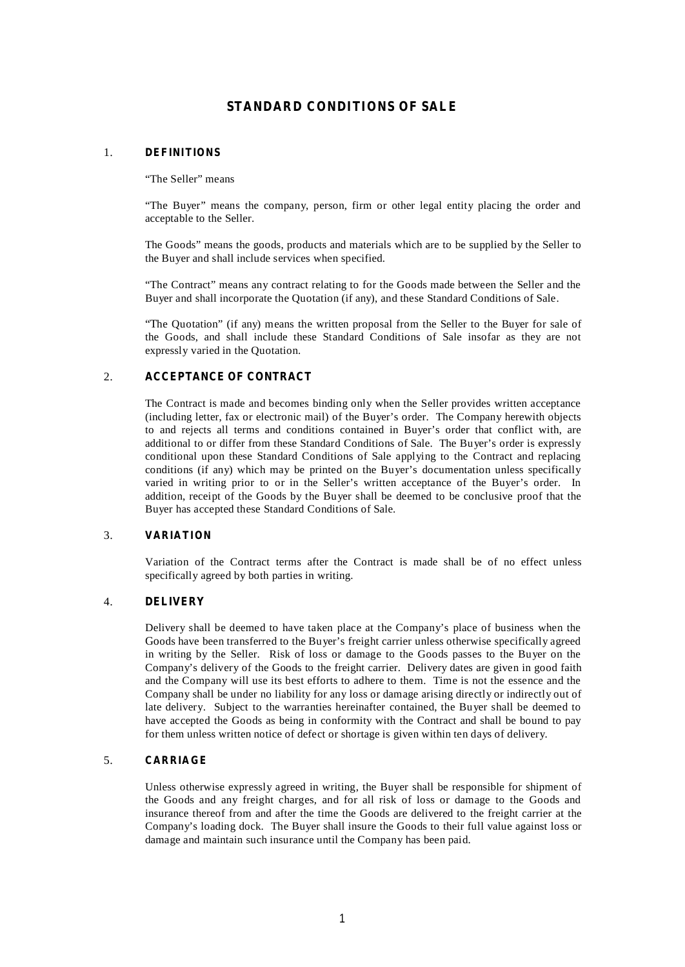# **STANDARD CONDITIONS OF SALE**

#### **DEFINITIONS** 1.

"The Seller" means

"The Buyer" means the company, person, firm or other legal entity placing the order and acceptable to the Seller.

The Goods" means the goods, products and materials which are to be supplied by the Seller to the Buyer and shall include services when specified.

"The Contract" means any contract relating to for the Goods made between the Seller and the Buyer and shall incorporate the Quotation (if any), and these Standard Conditions of Sale.

"The Quotation" (if any) means the written proposal from the Seller to the Buyer for sale of the Goods, and shall include these Standard Conditions of Sale insofar as they are not expressly varied in the Quotation.

# **ACCEPTANCE OF CONTRACT** 2.

The Contract is made and becomes binding only when the Seller provides written acceptance (including letter, fax or electronic mail) of the Buyer's order. The Company herewith objects to and rejects all terms and conditions contained in Buyer's order that conflict with, are additional to or differ from these Standard Conditions of Sale. The Buyer's order is expressly conditional upon these Standard Conditions of Sale applying to the Contract and replacing conditions (if any) which may be printed on the Buyer's documentation unless specifically varied in writing prior to or in the Seller's written acceptance of the Buyer's order. In addition, receipt of the Goods by the Buyer shall be deemed to be conclusive proof that the Buyer has accepted these Standard Conditions of Sale.

## **VARIATION** 3.

Variation of the Contract terms after the Contract is made shall be of no effect unless specifically agreed by both parties in writing.

# **DELIVERY** 4.

Delivery shall be deemed to have taken place at the Company's place of business when the Goods have been transferred to the Buyer's freight carrier unless otherwise specifically agreed in writing by the Seller. Risk of loss or damage to the Goods passes to the Buyer on the Company's delivery of the Goods to the freight carrier. Delivery dates are given in good faith and the Company will use its best efforts to adhere to them. Time is not the essence and the Company shall be under no liability for any loss or damage arising directly or indirectly out of late delivery. Subject to the warranties hereinafter contained, the Buyer shall be deemed to have accepted the Goods as being in conformity with the Contract and shall be bound to pay for them unless written notice of defect or shortage is given within ten days of delivery.

#### **CARRIAGE** 5.

Unless otherwise expressly agreed in writing, the Buyer shall be responsible for shipment of the Goods and any freight charges, and for all risk of loss or damage to the Goods and insurance thereof from and after the time the Goods are delivered to the freight carrier at the Company's loading dock. The Buyer shall insure the Goods to their full value against loss or damage and maintain such insurance until the Company has been paid.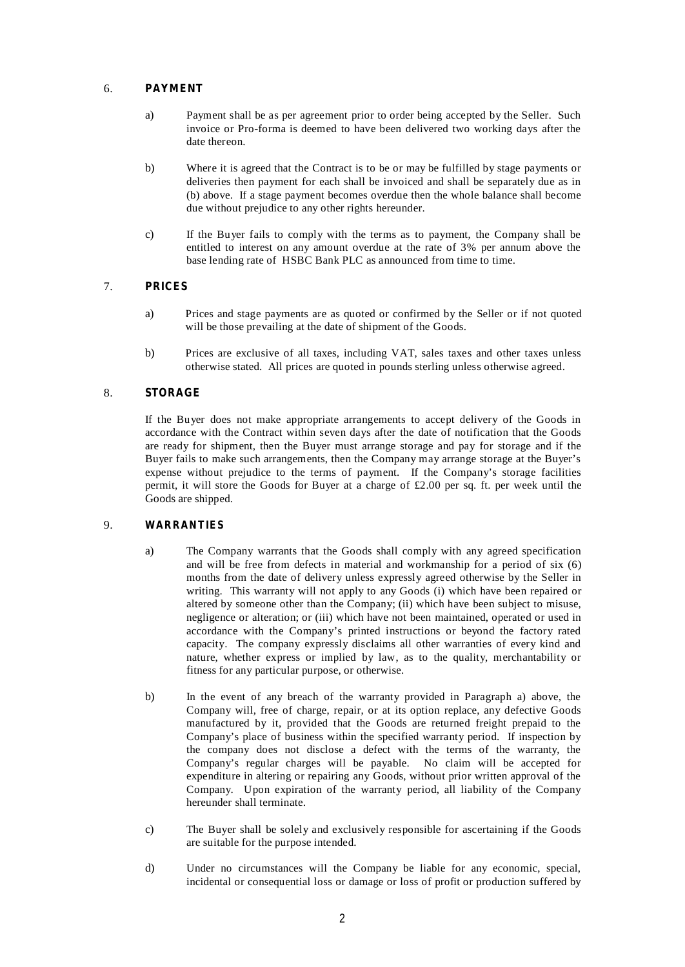# 6. **PAYMENT**

- a) Payment shall be as per agreement prior to order being accepted by the Seller. Such invoice or Pro-forma is deemed to have been delivered two working days after the date thereon.
- b) Where it is agreed that the Contract is to be or may be fulfilled by stage payments or deliveries then payment for each shall be invoiced and shall be separately due as in (b) above. If a stage payment becomes overdue then the whole balance shall become due without prejudice to any other rights hereunder.
- c) If the Buyer fails to comply with the terms as to payment, the Company shall be entitled to interest on any amount overdue at the rate of 3% per annum above the base lending rate of HSBC Bank PLC as announced from time to time.

# 7. **PRICES**

- a) Prices and stage payments are as quoted or confirmed by the Seller or if not quoted will be those prevailing at the date of shipment of the Goods.
- b) Prices are exclusive of all taxes, including VAT, sales taxes and other taxes unless otherwise stated. All prices are quoted in pounds sterling unless otherwise agreed.

# 8. **STORAGE**

If the Buyer does not make appropriate arrangements to accept delivery of the Goods in accordance with the Contract within seven days after the date of notification that the Goods are ready for shipment, then the Buyer must arrange storage and pay for storage and if the Buyer fails to make such arrangements, then the Company may arrange storage at the Buyer's expense without prejudice to the terms of payment. If the Company's storage facilities permit, it will store the Goods for Buyer at a charge of £2.00 per sq. ft. per week until the Goods are shipped.

## 9. **WARRANTIES**

- a) The Company warrants that the Goods shall comply with any agreed specification and will be free from defects in material and workmanship for a period of six (6) months from the date of delivery unless expressly agreed otherwise by the Seller in writing. This warranty will not apply to any Goods (i) which have been repaired or altered by someone other than the Company; (ii) which have been subject to misuse, negligence or alteration; or (iii) which have not been maintained, operated or used in accordance with the Company's printed instructions or beyond the factory rated capacity. The company expressly disclaims all other warranties of every kind and nature, whether express or implied by law, as to the quality, merchantability or fitness for any particular purpose, or otherwise.
- b) In the event of any breach of the warranty provided in Paragraph a) above, the Company will, free of charge, repair, or at its option replace, any defective Goods manufactured by it, provided that the Goods are returned freight prepaid to the Company's place of business within the specified warranty period. If inspection by the company does not disclose a defect with the terms of the warranty, the Company's regular charges will be payable. No claim will be accepted for expenditure in altering or repairing any Goods, without prior written approval of the Company. Upon expiration of the warranty period, all liability of the Company hereunder shall terminate.
- c) The Buyer shall be solely and exclusively responsible for ascertaining if the Goods are suitable for the purpose intended.
- d) Under no circumstances will the Company be liable for any economic, special, incidental or consequential loss or damage or loss of profit or production suffered by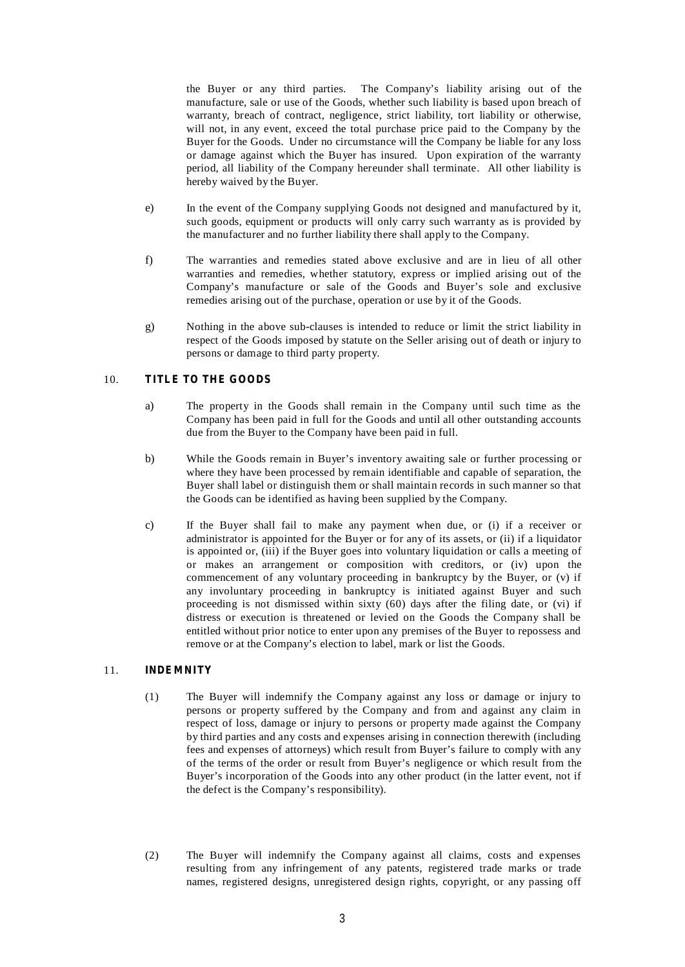the Buyer or any third parties. The Company's liability arising out of the manufacture, sale or use of the Goods, whether such liability is based upon breach of warranty, breach of contract, negligence, strict liability, tort liability or otherwise, will not, in any event, exceed the total purchase price paid to the Company by the Buyer for the Goods. Under no circumstance will the Company be liable for any loss or damage against which the Buyer has insured. Upon expiration of the warranty period, all liability of the Company hereunder shall terminate. All other liability is hereby waived by the Buyer.

- e) In the event of the Company supplying Goods not designed and manufactured by it, such goods, equipment or products will only carry such warranty as is provided by the manufacturer and no further liability there shall apply to the Company.
- f) The warranties and remedies stated above exclusive and are in lieu of all other warranties and remedies, whether statutory, express or implied arising out of the Company's manufacture or sale of the Goods and Buyer's sole and exclusive remedies arising out of the purchase, operation or use by it of the Goods.
- g) Nothing in the above sub-clauses is intended to reduce or limit the strict liability in respect of the Goods imposed by statute on the Seller arising out of death or injury to persons or damage to third party property.

# 10. **TITLE TO THE GOODS**

- a) The property in the Goods shall remain in the Company until such time as the Company has been paid in full for the Goods and until all other outstanding accounts due from the Buyer to the Company have been paid in full.
- b) While the Goods remain in Buyer's inventory awaiting sale or further processing or where they have been processed by remain identifiable and capable of separation, the Buyer shall label or distinguish them or shall maintain records in such manner so that the Goods can be identified as having been supplied by the Company.
- c) If the Buyer shall fail to make any payment when due, or (i) if a receiver or administrator is appointed for the Buyer or for any of its assets, or (ii) if a liquidator is appointed or, (iii) if the Buyer goes into voluntary liquidation or calls a meeting of or makes an arrangement or composition with creditors, or (iv) upon the commencement of any voluntary proceeding in bankruptcy by the Buyer, or (v) if any involuntary proceeding in bankruptcy is initiated against Buyer and such proceeding is not dismissed within sixty (60) days after the filing date, or (vi) if distress or execution is threatened or levied on the Goods the Company shall be entitled without prior notice to enter upon any premises of the Buyer to repossess and remove or at the Company's election to label, mark or list the Goods.

## 11. **INDEMNITY**

- (1) The Buyer will indemnify the Company against any loss or damage or injury to persons or property suffered by the Company and from and against any claim in respect of loss, damage or injury to persons or property made against the Company by third parties and any costs and expenses arising in connection therewith (including fees and expenses of attorneys) which result from Buyer's failure to comply with any of the terms of the order or result from Buyer's negligence or which result from the Buyer's incorporation of the Goods into any other product (in the latter event, not if the defect is the Company's responsibility).
- (2) The Buyer will indemnify the Company against all claims, costs and expenses resulting from any infringement of any patents, registered trade marks or trade names, registered designs, unregistered design rights, copyright, or any passing off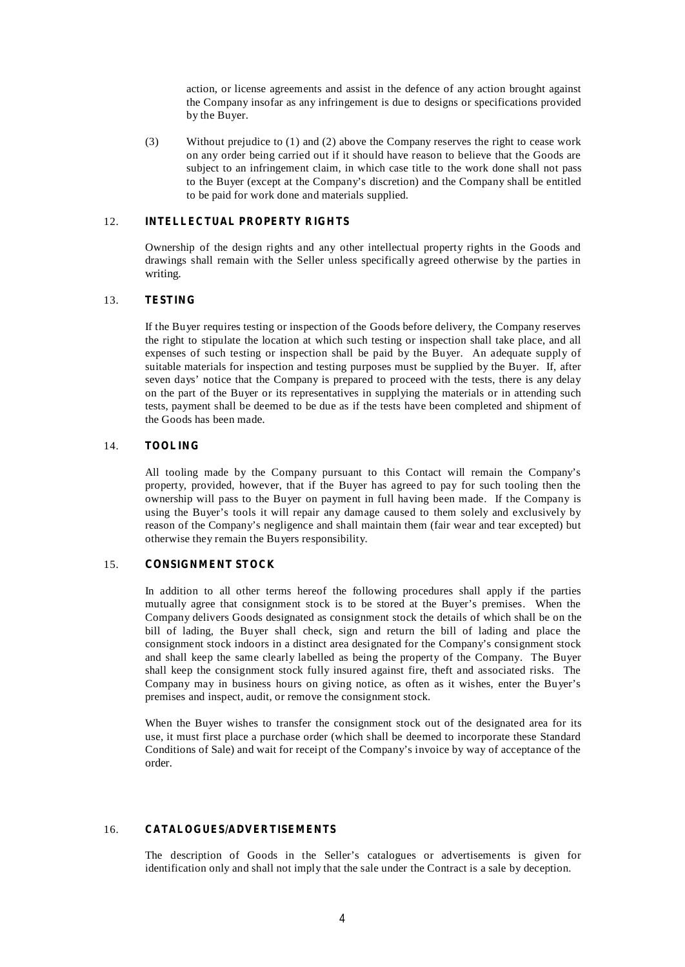action, or license agreements and assist in the defence of any action brought against the Company insofar as any infringement is due to designs or specifications provided by the Buyer.

(3) Without prejudice to (1) and (2) above the Company reserves the right to cease work on any order being carried out if it should have reason to believe that the Goods are subject to an infringement claim, in which case title to the work done shall not pass to the Buyer (except at the Company's discretion) and the Company shall be entitled to be paid for work done and materials supplied.

# 12. **INTELLECTUAL PROPERTY RIGHTS**

Ownership of the design rights and any other intellectual property rights in the Goods and drawings shall remain with the Seller unless specifically agreed otherwise by the parties in writing.

#### 13. **TESTING**

If the Buyer requires testing or inspection of the Goods before delivery, the Company reserves the right to stipulate the location at which such testing or inspection shall take place, and all expenses of such testing or inspection shall be paid by the Buyer. An adequate supply of suitable materials for inspection and testing purposes must be supplied by the Buyer. If, after seven days' notice that the Company is prepared to proceed with the tests, there is any delay on the part of the Buyer or its representatives in supplying the materials or in attending such tests, payment shall be deemed to be due as if the tests have been completed and shipment of the Goods has been made.

#### 14. **TOOLING**

All tooling made by the Company pursuant to this Contact will remain the Company's property, provided, however, that if the Buyer has agreed to pay for such tooling then the ownership will pass to the Buyer on payment in full having been made. If the Company is using the Buyer's tools it will repair any damage caused to them solely and exclusively by reason of the Company's negligence and shall maintain them (fair wear and tear excepted) but otherwise they remain the Buyers responsibility.

#### 15. **CONSIGNMENT STOCK**

In addition to all other terms hereof the following procedures shall apply if the parties mutually agree that consignment stock is to be stored at the Buyer's premises. When the Company delivers Goods designated as consignment stock the details of which shall be on the bill of lading, the Buyer shall check, sign and return the bill of lading and place the consignment stock indoors in a distinct area designated for the Company's consignment stock and shall keep the same clearly labelled as being the property of the Company. The Buyer shall keep the consignment stock fully insured against fire, theft and associated risks. The Company may in business hours on giving notice, as often as it wishes, enter the Buyer's premises and inspect, audit, or remove the consignment stock.

When the Buyer wishes to transfer the consignment stock out of the designated area for its use, it must first place a purchase order (which shall be deemed to incorporate these Standard Conditions of Sale) and wait for receipt of the Company's invoice by way of acceptance of the order.

#### 16. **CATALOGUES/ADVERTISEMENTS**

The description of Goods in the Seller's catalogues or advertisements is given for identification only and shall not imply that the sale under the Contract is a sale by deception.